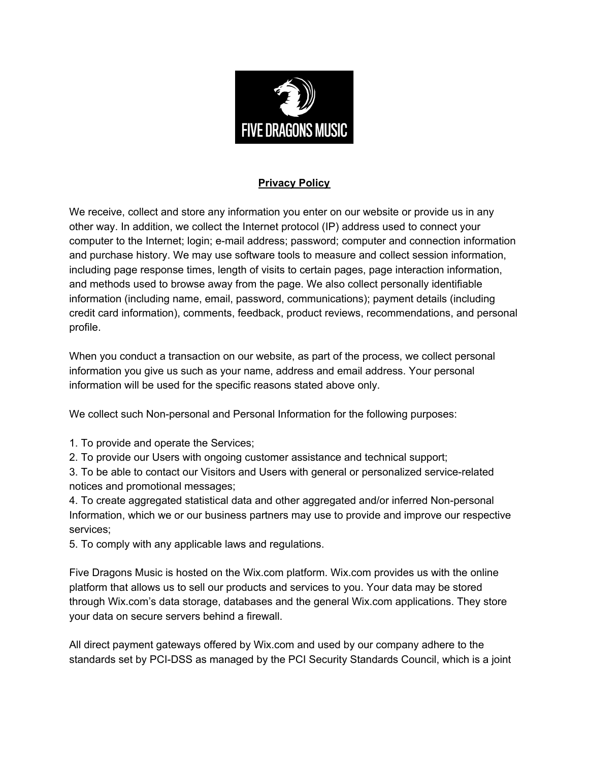

## **Privacy Policy**

We receive, collect and store any information you enter on our website or provide us in any other way. In addition, we collect the Internet protocol (IP) address used to connect your computer to the Internet; login; e-mail address; password; computer and connection information and purchase history. We may use software tools to measure and collect session information, including page response times, length of visits to certain pages, page interaction information, and methods used to browse away from the page. We also collect personally identifiable information (including name, email, password, communications); payment details (including credit card information), comments, feedback, product reviews, recommendations, and personal profile.

When you conduct a transaction on our website, as part of the process, we collect personal information you give us such as your name, address and email address. Your personal information will be used for the specific reasons stated above only.

We collect such Non-personal and Personal Information for the following purposes:

1. To provide and operate the Services;

2. To provide our Users with ongoing customer assistance and technical support;

3. To be able to contact our Visitors and Users with general or personalized service-related notices and promotional messages;

4. To create aggregated statistical data and other aggregated and/or inferred Non-personal Information, which we or our business partners may use to provide and improve our respective services;

5. To comply with any applicable laws and regulations.

Five Dragons Music is hosted on the Wix.com platform. Wix.com provides us with the online platform that allows us to sell our products and services to you. Your data may be stored through Wix.com's data storage, databases and the general Wix.com applications. They store your data on secure servers behind a firewall.

All direct payment gateways offered by Wix.com and used by our company adhere to the standards set by PCI-DSS as managed by the PCI Security Standards Council, which is a joint